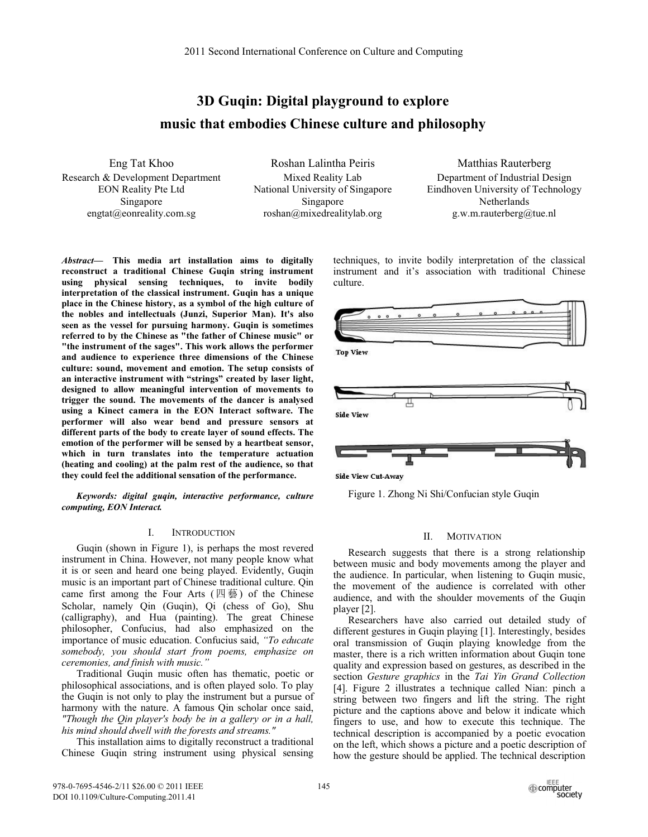## **3D Guqin: Digital playground to explore music that embodies Chinese culture and philosophy**

Eng Tat Khoo Research & Development Department EON Reality Pte Ltd Singapore engtat@eonreality.com.sg

Roshan Lalintha Peiris Mixed Reality Lab National University of Singapore Singapore roshan@mixedrealitylab.org

Matthias Rauterberg Department of Industrial Design Eindhoven University of Technology Netherlands g.w.m.rauterberg@tue.nl

*Abstract***— This media art installation aims to digitally reconstruct a traditional Chinese Guqin string instrument using physical sensing techniques, to invite bodily interpretation of the classical instrument. Guqin has a unique place in the Chinese history, as a symbol of the high culture of the nobles and intellectuals (Junzi, Superior Man). It's also seen as the vessel for pursuing harmony. Guqin is sometimes referred to by the Chinese as "the father of Chinese music" or "the instrument of the sages". This work allows the performer and audience to experience three dimensions of the Chinese culture: sound, movement and emotion. The setup consists of an interactive instrument with "strings" created by laser light, designed to allow meaningful intervention of movements to trigger the sound. The movements of the dancer is analysed using a Kinect camera in the EON Interact software. The performer will also wear bend and pressure sensors at different parts of the body to create layer of sound effects. The emotion of the performer will be sensed by a heartbeat sensor, which in turn translates into the temperature actuation (heating and cooling) at the palm rest of the audience, so that they could feel the additional sensation of the performance.** 

*Keywords: digital guqin, interactive performance, culture computing, EON Interact.* 

## I. INTRODUCTION

Guqin (shown in Figure 1), is perhaps the most revered instrument in China. However, not many people know what it is or seen and heard one being played. Evidently, Guqin music is an important part of Chinese traditional culture. Qin came first among the Four Arts ( $\mathbb{Z}$ ) of the Chinese Scholar, namely Qin (Guqin), Qi (chess of Go), Shu (calligraphy), and Hua (painting). The great Chinese philosopher, Confucius, had also emphasized on the importance of music education. Confucius said, *"To educate somebody, you should start from poems, emphasize on ceremonies, and finish with music."* 

Traditional Guqin music often has thematic, poetic or philosophical associations, and is often played solo. To play the Guqin is not only to play the instrument but a pursue of harmony with the nature. A famous Qin scholar once said, *"Though the Qin player's body be in a gallery or in a hall, his mind should dwell with the forests and streams."*

This installation aims to digitally reconstruct a traditional Chinese Guqin string instrument using physical sensing techniques, to invite bodily interpretation of the classical instrument and it's association with traditional Chinese culture.



Side View Cut-Away

Figure 1. Zhong Ni Shi/Confucian style Guqin

## II. MOTIVATION

Research suggests that there is a strong relationship between music and body movements among the player and the audience. In particular, when listening to Guqin music, the movement of the audience is correlated with other audience, and with the shoulder movements of the Guqin player [2].

Researchers have also carried out detailed study of different gestures in Guqin playing [1]. Interestingly, besides oral transmission of Guqin playing knowledge from the master, there is a rich written information about Guqin tone quality and expression based on gestures, as described in the section *Gesture graphics* in the *Tai Yin Grand Collection* [4]. Figure 2 illustrates a technique called Nian: pinch a string between two fingers and lift the string. The right picture and the captions above and below it indicate which fingers to use, and how to execute this technique. The technical description is accompanied by a poetic evocation on the left, which shows a picture and a poetic description of how the gesture should be applied. The technical description